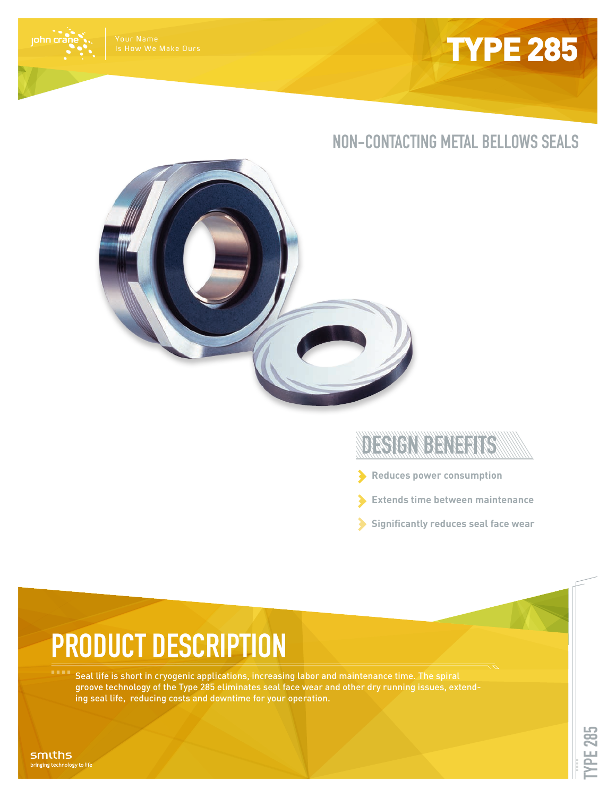

Your Name Is How We Make Ours

john crá

## **NON-CONTACTING METAL BELLOWS SEALS**



## DESIGNIDENERIES

- **Reduces power consumption**
- **Extends time between maintenance**
- **Significantly reduces seal face wear**

## **PRODUCT DESCRIPTION**

Seal life is short in cryogenic applications, increasing labor and maintenance time. The spiral groove technology of the Type 285 eliminates seal face wear and other dry running issues, extending seal life, reducing costs and downtime for your operation.